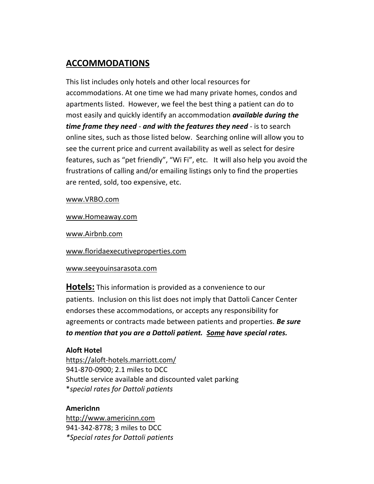# **ACCOMMODATIONS**

This list includes only hotels and other local resources for accommodations. At one time we had many private homes, condos and apartments listed. However, we feel the best thing a patient can do to most easily and quickly identify an accommodation *available during the time frame they need* - *and with the features they need* - is to search online sites, such as those listed below. Searching online will allow you to see the current price and current availability as well as select for desire features, such as "pet friendly", "Wi Fi", etc. It will also help you avoid the frustrations of calling and/or emailing listings only to find the properties are rented, sold, too expensive, etc.

[www.VRBO.com](http://www.vrbo.com/)

[www.Homeaway.com](http://www.homeaway.com/)

[www.Airbnb.com](http://www.airbnb.com/)

[www.floridaexecutiveproperties.com](http://www.floridaexecutiveproperties.com/)

# www.seeyouinsarasota.com

**Hotels:** This information is provided as a convenience to our patients. Inclusion on this list does not imply that Dattoli Cancer Center endorses these accommodations, or accepts any responsibility for agreements or contracts made between patients and properties. *Be sure to mention that you are a Dattoli patient. Some have special rates.*

# **Aloft Hotel**

<https://aloft-hotels.marriott.com/> 941-870-0900; 2.1 miles to DCC Shuttle service available and discounted valet parking \**special rates for Dattoli patients*

# **AmericInn**

[http://www.americinn.com](http://www.americinn.com/) 941-342-8778; 3 miles to DCC *\*Special rates for Dattoli patients*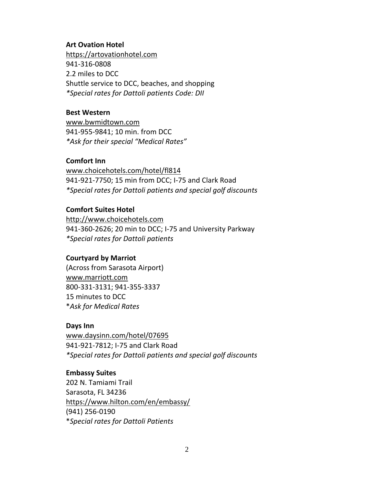### **Art Ovation Hotel**

[https://artovationhotel.com](https://artovationhotel.com/) 941-316-0808 2.2 miles to DCC Shuttle service to DCC, beaches, and shopping *\*Special rates for Dattoli patients Code: DII*

# **Best Western**

[www.bwmidtown.com](http://www.bwmidtown.com/) 941-955-9841; 10 min. from DCC *\*Ask for their special "Medical Rates"*

# **Comfort Inn**

[www.choicehotels.com/hotel/fl814](http://www.choicehotels.com/hotel/fl814) 941-921-7750; 15 min from DCC; I-75 and Clark Road *\*Special rates for Dattoli patients and special golf discounts*

# **Comfort Suites Hotel**

[http://www.choicehotels.com](http://www.choicehotels.com/) 941-360-2626; 20 min to DCC; I-75 and University Parkway *\*Special rates for Dattoli patients*

# **Courtyard by Marriot**

(Across from Sarasota Airport) [www.marriott.com](http://www.marriott.com/) 800-331-3131; 941-355-3337 15 minutes to DCC \**Ask for Medical Rates*

### **Days Inn**

[www.daysinn.com/hotel/07695](http://www.daysinn.com/hotel/07695) 941-921-7812; I-75 and Clark Road *\*Special rates for Dattoli patients and special golf discounts*

### **Embassy Suites**

202 N. Tamiami Trail Sarasota, FL 34236 <https://www.hilton.com/en/embassy/> (941) 256-0190 \**Special rates for Dattoli Patients*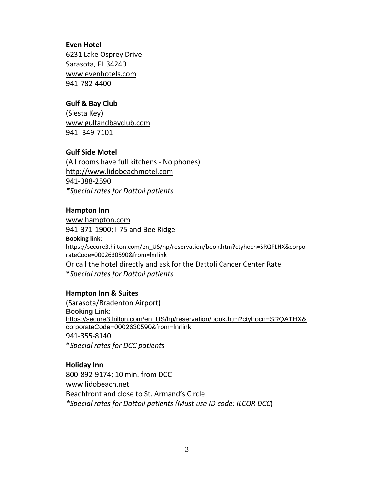### **Even Hotel**

6231 Lake Osprey Drive Sarasota, FL 34240 [www.evenhotels.com](http://www.evenhotels.com/) 941-782-4400

# **Gulf & Bay Club**

(Siesta Key) [www.gulfandbayclub.com](http://www.gulfandbayclub.com/) 941- 349-7101

# **Gulf Side Motel**

(All rooms have full kitchens - No phones) [http://www.lidobeachmotel.com](http://www.lidobeachmotel.com/) 941-388-2590 *\*Special rates for Dattoli patients*

# **Hampton Inn**

[www.hampton.com](http://www.hampton.com/) 941-371-1900; I-75 and Bee Ridge **Booking link**: [https://secure3.hilton.com/en\\_US/hp/reservation/book.htm?ctyhocn=SRQFLHX&corpo](https://na01.safelinks.protection.outlook.com/?url=https%3A%2F%2Fsecure3.hilton.com%2Fen_US%2Fhp%2Freservation%2Fbook.htm%3Fctyhocn%3DSRQFLHX%26corporateCode%3D0002630590%26from%3Dlnrlink&data=02%7C01%7CLindsey.Marsh%40hilton.com%7Cb87dbe08efcb4c2ddfc008d6286ade74%7C660292d2cfd54a3db7a7e8f7ee458a0a%7C0%7C0%7C636740836798248855&sdata=s9u4C5%2BrgUNgWru%2F2F%2B9EazuDu9ORI%2F2i0WgfKltLEY%3D&reserved=0) [rateCode=0002630590&from=lnrlink](https://na01.safelinks.protection.outlook.com/?url=https%3A%2F%2Fsecure3.hilton.com%2Fen_US%2Fhp%2Freservation%2Fbook.htm%3Fctyhocn%3DSRQFLHX%26corporateCode%3D0002630590%26from%3Dlnrlink&data=02%7C01%7CLindsey.Marsh%40hilton.com%7Cb87dbe08efcb4c2ddfc008d6286ade74%7C660292d2cfd54a3db7a7e8f7ee458a0a%7C0%7C0%7C636740836798248855&sdata=s9u4C5%2BrgUNgWru%2F2F%2B9EazuDu9ORI%2F2i0WgfKltLEY%3D&reserved=0) Or call the hotel directly and ask for the Dattoli Cancer Center Rate \**Special rates for Dattoli patients* 

# **Hampton Inn & Suites**

(Sarasota/Bradenton Airport) **Booking Link:** [https://secure3.hilton.com/en\\_US/hp/reservation/book.htm?ctyhocn=SRQATHX&](https://nam02.safelinks.protection.outlook.com/?url=https%3A%2F%2Fsecure3.hilton.com%2Fen_US%2Fhp%2Freservation%2Fbook.htm%3Fctyhocn%3DSRQATHX%26corporateCode%3D0002630590%26from%3Dlnrlink&data=02%7C01%7CShannon.Mundy%40hilton.com%7C07464330253041d8b05108d6ca611409%7C660292d2cfd54a3db7a7e8f7ee458a0a%7C0%7C0%7C636918915647469699&sdata=77HLGXh2EHXCxAbUGhJRs0e0GaUZobWv3ZwEdwenzsU%3D&reserved=0) [corporateCode=0002630590&from=lnrlink](https://nam02.safelinks.protection.outlook.com/?url=https%3A%2F%2Fsecure3.hilton.com%2Fen_US%2Fhp%2Freservation%2Fbook.htm%3Fctyhocn%3DSRQATHX%26corporateCode%3D0002630590%26from%3Dlnrlink&data=02%7C01%7CShannon.Mundy%40hilton.com%7C07464330253041d8b05108d6ca611409%7C660292d2cfd54a3db7a7e8f7ee458a0a%7C0%7C0%7C636918915647469699&sdata=77HLGXh2EHXCxAbUGhJRs0e0GaUZobWv3ZwEdwenzsU%3D&reserved=0) 941-355-8140 \**Special rates for DCC patients*

### **Holiday Inn**

800-892-9174; 10 min. from DCC [www.lidobeach.net](http://www.lidobeach.net/) Beachfront and close to St. Armand's Circle *\*Special rates for Dattoli patients (Must use ID code: ILCOR DCC*)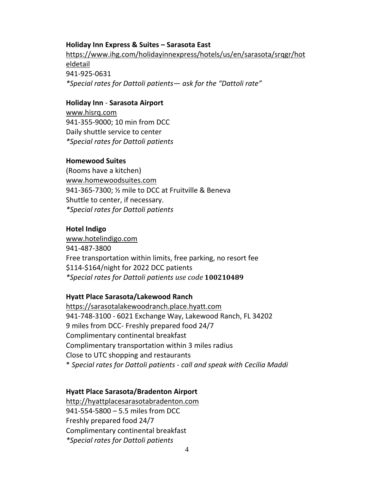### **Holiday Inn Express & Suites – Sarasota East**

https://www.ihg.com/holidayinnexpress/hotels/us/en/sarasota/srqgr/hot eldetail 941-925-0631 *\*Special rates for Dattoli patients— ask for the "Dattoli rate"*

### **Holiday Inn** - **Sarasota Airport**

[www.hisrq.com](http://www.hisrq.com/) 941-355-9000; 10 min from DCC Daily shuttle service to center *\*Special rates for Dattoli patients* 

# **Homewood Suites**

(Rooms have a kitchen) [www.homewoodsuites.com](http://www.homewoodsuites.com/) 941-365-7300; ½ mile to DCC at Fruitville & Beneva Shuttle to center, if necessary. *\*Special rates for Dattoli patients*

# **Hotel Indigo**

[www.hotelindigo.com](http://www.hotelindigo.com/) 941-487-3800 Free transportation within limits, free parking, no resort fee \$114-\$164/night for 2022 DCC patients *\*Special rates for Dattoli patients use code* **100210489**

# **Hyatt Place Sarasota/Lakewood Ranch**

[https://sarasotalakewoodranch.place.hyatt.com](https://sarasotalakewoodranch.place.hyatt.com/) 941-748-3100 - 6021 Exchange Way, Lakewood Ranch, FL 34202 9 miles from DCC- Freshly prepared food 24/7 Complimentary continental breakfast Complimentary transportation within 3 miles radius Close to UTC shopping and restaurants \* *Special rates for Dattoli patients - call and speak with Cecilia Maddi*

# **Hyatt Place Sarasota/Bradenton Airport**

[http://hyattplacesarasotabradenton.com](http://hyattplacesarasotabradenton.com/) 941-554-5800 – 5.5 miles from DCC Freshly prepared food 24/7 Complimentary continental breakfast *\*Special rates for Dattoli patients*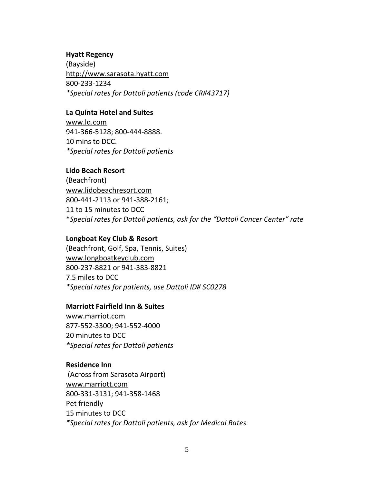#### **Hyatt Regency**

(Bayside) [http://www.sarasota.hyatt.com](http://www.sarasota.hyatt.com/) 800-233-1234 *\*Special rates for Dattoli patients (code CR#43717)*

#### **La Quinta Hotel and Suites**

[www.lq.com](http://www.lq.com/) 941-366-5128; 800-444-8888. 10 mins to DCC. *\*Special rates for Dattoli patients*

### **Lido Beach Resort**

(Beachfront) [www.lidobeachresort.com](http://www.lidobeachresort.com/) 800-441-2113 or 941-388-2161; 11 to 15 minutes to DCC \**Special rates for Dattoli patients, ask for the "Dattoli Cancer Center" rate*

### **Longboat Key Club & Resort**

(Beachfront, Golf, Spa, Tennis, Suites) [www.longboatkeyclub.com](http://www.longboatkeyclub.com/) 800-237-8821 or 941-383-8821 7.5 miles to DCC *\*Special rates for patients, use Dattoli ID# SC0278* 

### **Marriott Fairfield Inn & Suites**

[www.marriot.com](http://www.marriot.com/) 877-552-3300; 941-552-4000 20 minutes to DCC *\*Special rates for Dattoli patients*

### **Residence Inn**

(Across from Sarasota Airport) [www.marriott.com](http://www.marriott.com/) 800-331-3131; 941-358-1468 Pet friendly 15 minutes to DCC *\*Special rates for Dattoli patients, ask for Medical Rates*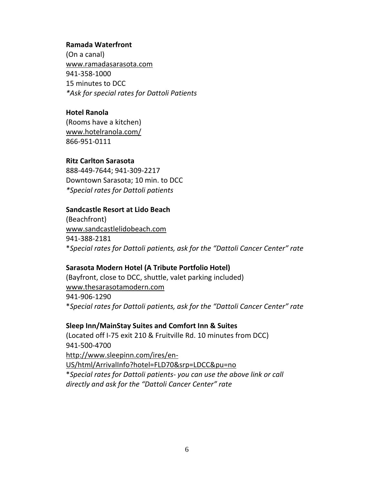### **Ramada Waterfront**

(On a canal) [www.ramadasarasota.com](http://www.ramadasarasota.com/) 941-358-1000 15 minutes to DCC *\*Ask for special rates for Dattoli Patients*

# **Hotel Ranola**

(Rooms have a kitchen) [www.hotelranola.com/](http://www.hotelranola.com/) 866-951-0111

# **Ritz Carlton Sarasota**

888-449-7644; 941-309-2217 Downtown Sarasota; 10 min. to DCC *\*Special rates for Dattoli patients* 

# **Sandcastle Resort at Lido Beach**

(Beachfront) [www.sandcastlelidobeach.com](http://www.sandcastlelidobeach.com/) 941-388-2181 \**Special rates for Dattoli patients, ask for the "Dattoli Cancer Center" rate*

# **Sarasota Modern Hotel (A Tribute Portfolio Hotel)**

(Bayfront, close to DCC, shuttle, valet parking included) [www.thesarasotamodern.com](http://www.thesarasotamodern.com/) 941-906-1290 \**Special rates for Dattoli patients, ask for the "Dattoli Cancer Center" rate*

# **Sleep Inn/MainStay Suites and Comfort Inn & Suites**

(Located off I-75 exit 210 & Fruitville Rd. 10 minutes from DCC) 941-500-4700 [http://www.sleepinn.com/ires/en-](http://www.sleepinn.com/ires/en-US/html/ArrivalInfo?hotel=FLD70&srp=LDCC&pu=no)[US/html/ArrivalInfo?hotel=FLD70&srp=LDCC&pu=no](http://www.sleepinn.com/ires/en-US/html/ArrivalInfo?hotel=FLD70&srp=LDCC&pu=no) \**Special rates for Dattoli patients- you can use the above link or call directly and ask for the "Dattoli Cancer Center" rate*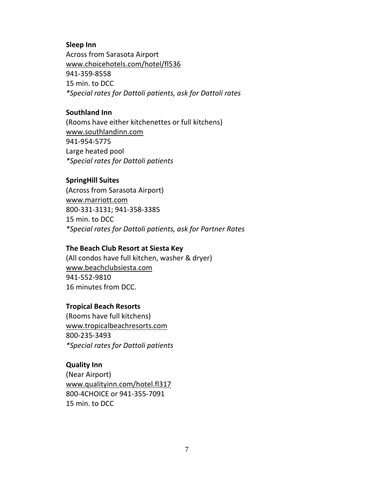#### **Sleep Inn**

Across from Sarasota Airport [www.choicehotels.com/hotel/fl536](http://www.choicehotels.com/hotel/fl536) 941-359-8558 15 min. to DCC *\*Special rates for Dattoli patients, ask for Dattoli rates*

### **Southland Inn**

(Rooms have either kitchenettes or full kitchens) [www.southlandinn.com](http://www.southlandinn.com/) 941-954-5775 Large heated pool *\*Special rates for Dattoli patients*

#### **SpringHill Suites**

(Across from Sarasota Airport) [www.marriott.com](http://www.marriott.com/) 800-331-3131; 941-358-3385 15 min. to DCC *\*Special rates for Dattoli patients, ask for Partner Rates*

#### **The Beach Club Resort at Siesta Key**

(All condos have full kitchen, washer & dryer) [www.beachclubsiesta.com](http://www.beachclubsiesta.com/) 941-552-9810 16 minutes from DCC.

#### **Tropical Beach Resorts**

(Rooms have full kitchens) [www.tropicalbeachresorts.com](http://www.tropicalbeachresorts.com/) 800-235-3493 *\*Special rates for Dattoli patients*

#### **Quality Inn**

(Near Airport) [www.qualityinn.com/hotel.fl317](http://www.qualityinn.com/hotel.fl317) 800-4CHOICE or 941-355-7091 15 min. to DCC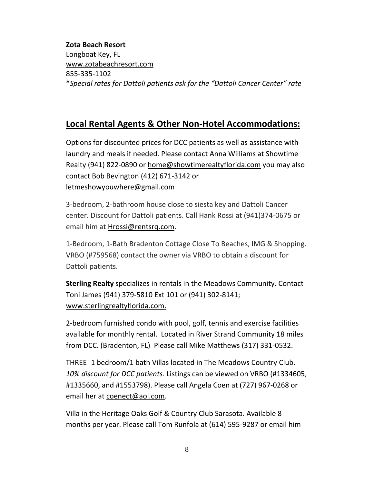# **Zota Beach Resort**

Longboat Key, FL [www.zotabeachresort.com](http://www.zotabeachresort.com/) 855-335-1102 \**Special rates for Dattoli patients ask for the "Dattoli Cancer Center" rate*

# **Local Rental Agents & Other Non-Hotel Accommodations:**

Options for discounted prices for DCC patients as well as assistance with laundry and meals if needed. Please contact Anna Williams at Showtime Realty (941) 822-0890 or [home@showtimerealtyflorida.com](mailto:home@showtimerealtyflorida.com) you may also contact Bob Bevington (412) 671-3142 or [letmeshowyouwhere@gmail.com](mailto:letmeshowyouwhere@gmail.com)

3-bedroom, 2-bathroom house close to siesta key and Dattoli Cancer center. Discount for Dattoli patients. Call Hank Rossi at (941)374-0675 or email him at [Hrossi@rentsrq.com.](mailto:Hrossi@rentsrq.com)

1-Bedroom, 1-Bath Bradenton Cottage Close To Beaches, IMG & Shopping. VRBO (#759568) contact the owner via VRBO to obtain a discount for Dattoli patients.

**Sterling Realty** specializes in rentals in the Meadows Community. Contact Toni James (941) 379-5810 Ext 101 or (941) 302-8141; [www.sterlingrealtyflorida.com.](http://www.sterlingrealtyflorida.com/)

2-bedroom furnished condo with pool, golf, tennis and exercise facilities available for monthly rental. Located in River Strand Community 18 miles from DCC. (Bradenton, FL) Please call Mike Matthews (317) 331-0532.

THREE- 1 bedroom/1 bath Villas located in The Meadows Country Club. *10% discount for DCC patients*. Listings can be viewed on VRBO (#1334605, #1335660, and #1553798). Please call Angela Coen at (727) 967-0268 or email her at [coenect@aol.com.](mailto:coenect@aol.com)

Villa in the Heritage Oaks Golf & Country Club Sarasota. Available 8 months per year. Please call Tom Runfola at (614) 595-9287 or email him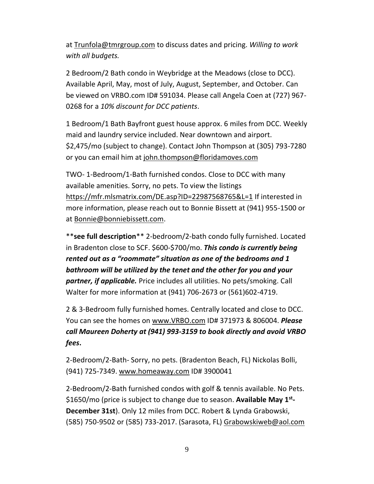at [Trunfola@tmrgroup.com](mailto:Trunfola@tmrgroup.com) to discuss dates and pricing. *Willing to work with all budgets.*

2 Bedroom/2 Bath condo in Weybridge at the Meadows (close to DCC). Available April, May, most of July, August, September, and October. Can be viewed on VRBO.com ID# 591034. Please call Angela Coen at (727) 967- 0268 for a *10% discount for DCC patients*.

1 Bedroom/1 Bath Bayfront guest house approx. 6 miles from DCC. Weekly maid and laundry service included. Near downtown and airport. \$2,475/mo (subject to change). Contact John Thompson at (305) 793-7280 or you can email him at [john.thompson@floridamoves.com](mailto:john.thompson@floridamoves.com)

TWO- 1-Bedroom/1-Bath furnished condos. Close to DCC with many available amenities. Sorry, no pets. To view the listings <https://mfr.mlsmatrix.com/DE.asp?ID=22987568765&L=1> If interested in more information, please reach out to Bonnie Bissett at (941) 955-1500 or at [Bonnie@bonniebissett.com.](mailto:Bonnie@bonniebissett.com)

\*\***see full description**\*\* 2-bedroom/2-bath condo fully furnished. Located in Bradenton close to SCF. \$600-\$700/mo. *This condo is currently being rented out as a "roommate" situation as one of the bedrooms and 1 bathroom will be utilized by the tenet and the other for you and your partner, if applicable.* Price includes all utilities. No pets/smoking. Call Walter for more information at (941) 706-2673 or (561)602-4719.

2 & 3-Bedroom fully furnished homes. Centrally located and close to DCC. You can see the homes on [www.VRBO.com](http://www.vrbo.com/) ID# 371973 & 806004. *Please call Maureen Doherty at (941) 993-3159 to book directly and avoid VRBO fees***.**

2-Bedroom/2-Bath- Sorry, no pets. (Bradenton Beach, FL) Nickolas Bolli, (941) 725-7349. [www.homeaway.com](http://www.homeaway.com/) ID# 3900041

2-Bedroom/2-Bath furnished condos with golf & tennis available. No Pets. \$1650/mo (price is subject to change due to season. **Available May 1st - December 31st**). Only 12 miles from DCC. Robert & Lynda Grabowski, (585) 750-9502 or (585) 733-2017. (Sarasota, FL) [Grabowskiweb@aol.com](mailto:Grabowskiweb@aol.com)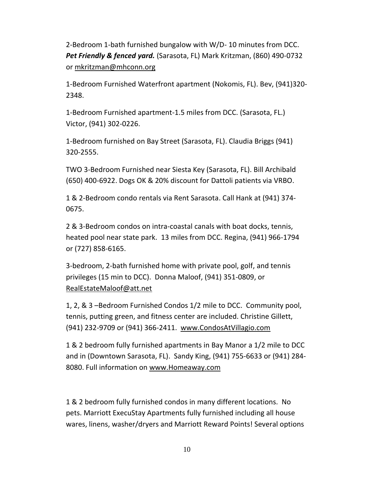2-Bedroom 1-bath furnished bungalow with W/D- 10 minutes from DCC. *Pet Friendly & fenced yard.* (Sarasota, FL) Mark Kritzman, (860) 490-0732 or [mkritzman@mhconn.org](mailto:mkritzman@mhconn.org)

1-Bedroom Furnished Waterfront apartment (Nokomis, FL). Bev, (941)320- 2348.

1-Bedroom Furnished apartment-1.5 miles from DCC. (Sarasota, FL.) Victor, (941) 302-0226.

1-Bedroom furnished on Bay Street (Sarasota, FL). Claudia Briggs (941) 320-2555.

TWO 3-Bedroom Furnished near Siesta Key (Sarasota, FL). Bill Archibald (650) 400-6922. Dogs OK & 20% discount for Dattoli patients via VRBO.

1 & 2-Bedroom condo rentals via Rent Sarasota. Call Hank at (941) 374- 0675.

2 & 3-Bedroom condos on intra-coastal canals with boat docks, tennis, heated pool near state park. 13 miles from DCC. Regina, (941) 966-1794 or (727) 858-6165.

3-bedroom, 2-bath furnished home with private pool, golf, and tennis privileges (15 min to DCC). Donna Maloof, (941) 351-0809, or [RealEstateMaloof@att.net](mailto:RealEstateMaloof@att.net)

1, 2, & 3 –Bedroom Furnished Condos 1/2 mile to DCC. Community pool, tennis, putting green, and fitness center are included. Christine Gillett, (941) 232-9709 or (941) 366-2411. [www.CondosAtVillagio.com](http://www.condosatvillagio.com/)

1 & 2 bedroom fully furnished apartments in Bay Manor a 1/2 mile to DCC and in (Downtown Sarasota, FL). Sandy King, (941) 755-6633 or (941) 284- 8080. Full information on [www.Homeaway.com](http://www.homeaway.com/)

1 & 2 bedroom fully furnished condos in many different locations. No pets. Marriott ExecuStay Apartments fully furnished including all house wares, linens, washer/dryers and Marriott Reward Points! Several options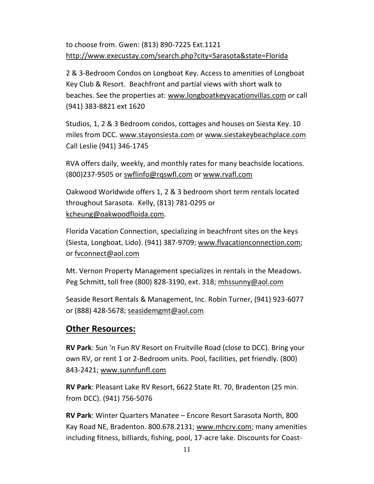to choose from. Gwen: (813) 890-7225 Ext.1121 <http://www.execustay.com/search.php?city=Sarasota&state=Florida>

2 & 3-Bedroom Condos on Longboat Key. Access to amenities of Longboat Key Club & Resort. Beachfront and partial views with short walk to beaches. See the properties at: [www.longboatkeyvacationvillas.com](http://www.longboatkeyvacationvillas.com/) or call (941) 383-8821 ext 1620

Studios, 1, 2 & 3 Bedroom condos, cottages and houses on Siesta Key. 10 miles from DCC. [www.stayonsiesta.com](http://www.stayonsiesta.com/) or [www.siestakeybeachplace.com](http://www.siestakeybeachplace.com/) Call Leslie (941) 346-1745

RVA offers daily, weekly, and monthly rates for many beachside locations. (800)237-9505 or [swflinfo@rqswfl.com](mailto:swflinfo@rqswfl.com) or [www.rvafl.com](http://www.rvafl.com/)

Oakwood Worldwide offers 1, 2 & 3 bedroom short term rentals located throughout Sarasota. Kelly, (813) 781-0295 or [kcheung@oakwoodfloida.com.](mailto:kcheung@oakwoodfloida.com)

Florida Vacation Connection, specializing in beachfront sites on the keys (Siesta, Longboat, Lido). (941) 387-9709; [www.flvacationconnection.com;](http://www.flvacationconnection.com/) or [fvconnect@aol.com](mailto:fvconnect@aol.com)

Mt. Vernon Property Management specializes in rentals in the Meadows. Peg Schmitt, toll free (800) 828-3190, ext. 318; [mhssunny@aol.com](mailto:mhssunny@aol.com)

Seaside Resort Rentals & Management, Inc. Robin Turner, (941) 923-6077 or (888) 428-5678; [seasidemgmt@aol.com](mailto:seasidemgmt@aol.com)

# **Other Resources:**

**RV Park**: Sun 'n Fun RV Resort on Fruitville Road (close to DCC). Bring your own RV, or rent 1 or 2-Bedroom units. Pool, facilities, pet friendly. (800) 843-2421; [www.sunnfunfl.com](http://www.sunnfunfl.com/)

**RV Park**: Pleasant Lake RV Resort, 6622 State Rt. 70, Bradenton (25 min. from DCC). (941) 756-5076

**RV Park**: Winter Quarters Manatee – Encore Resort Sarasota North, 800 Kay Road NE, Bradenton. 800.678.2131; [www.mhcrv.com;](http://www.mhcrv.com/) many amenities including fitness, billiards, fishing, pool, 17-acre lake. Discounts for Coast